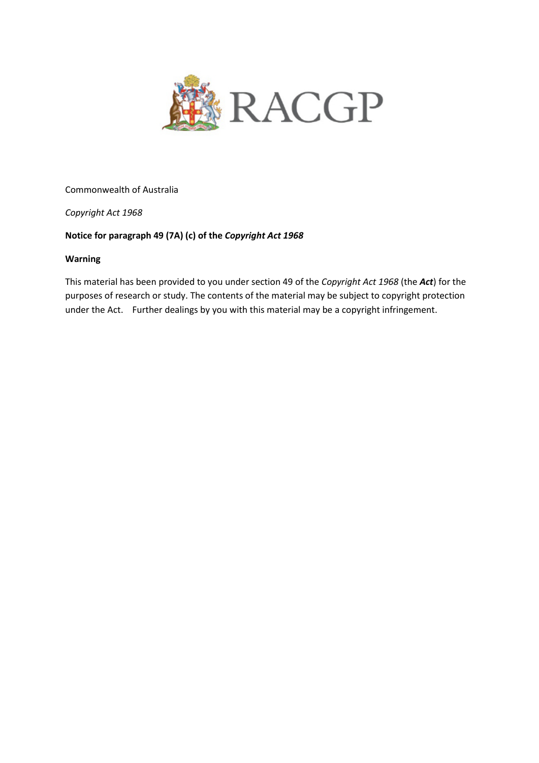

## Commonwealth of Australia

## *Copyright Act 1968*

## **Notice for paragraph 49 (7A) (c) of the** *Copyright Act 1968*

## **Warning**

This material has been provided to you under section 49 of the *Copyright Act 1968* (the *Act*) for the purposes of research or study. The contents of the material may be subject to copyright protection under the Act. Further dealings by you with this material may be a copyright infringement.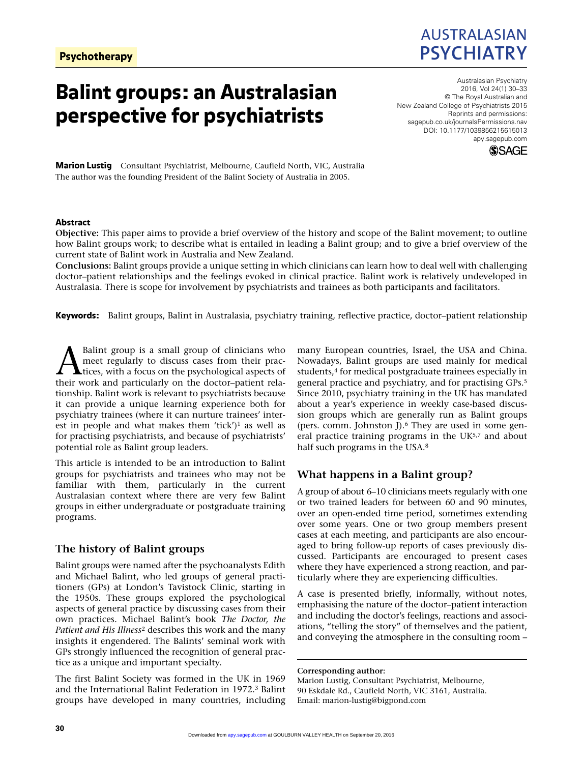# Balint groups: an Australasian perspective for psychiatrists

Australasian Psychiatry 2016, Vol 24(1) 30–33 © The Royal Australian and New Zealand College of Psychiatrists 2015 Reprints and permissions: sagepub.co.uk/journalsPermissions.nav DOI: 10.1177/1039856215615013 apy.sagepub.com

Australasian **Psychiatry**



Marion Lustig Consultant Psychiatrist, Melbourne, Caufield North, VIC, Australia The author was the founding President of the Balint Society of Australia in 2005.

#### Abstract

**Objective:** This paper aims to provide a brief overview of the history and scope of the Balint movement; to outline how Balint groups work; to describe what is entailed in leading a Balint group; and to give a brief overview of the current state of Balint work in Australia and New Zealand.

**Conclusions:** Balint groups provide a unique setting in which clinicians can learn how to deal well with challenging doctor–patient relationships and the feelings evoked in clinical practice. Balint work is relatively undeveloped in Australasia. There is scope for involvement by psychiatrists and trainees as both participants and facilitators.

Keywords: Balint groups, Balint in Australasia, psychiatry training, reflective practice, doctor–patient relationship

**A** Balint group is a small group of clinicians who meet regularly to discuss cases from their practices, with a focus on the psychological aspects of their work and particularly on the doctor patient relation meet regularly to discuss cases from their practheir work and particularly on the doctor–patient relationship. Balint work is relevant to psychiatrists because it can provide a unique learning experience both for psychiatry trainees (where it can nurture trainees' interest in people and what makes them 'tick')<sup>1</sup> as well as for practising psychiatrists, and because of psychiatrists' potential role as Balint group leaders.

This article is intended to be an introduction to Balint groups for psychiatrists and trainees who may not be familiar with them, particularly in the current Australasian context where there are very few Balint groups in either undergraduate or postgraduate training programs.

## **The history of Balint groups**

Balint groups were named after the psychoanalysts Edith and Michael Balint, who led groups of general practitioners (GPs) at London's Tavistock Clinic, starting in the 1950s. These groups explored the psychological aspects of general practice by discussing cases from their own practices. Michael Balint's book *The Doctor, the Patient and His Illness*2 describes this work and the many insights it engendered. The Balints' seminal work with GPs strongly influenced the recognition of general practice as a unique and important specialty.

The first Balint Society was formed in the UK in 1969 and the International Balint Federation in 1972.3 Balint groups have developed in many countries, including

many European countries, Israel, the USA and China. Nowadays, Balint groups are used mainly for medical students,<sup>4</sup> for medical postgraduate trainees especially in general practice and psychiatry, and for practising GPs.5 Since 2010, psychiatry training in the UK has mandated about a year's experience in weekly case-based discussion groups which are generally run as Balint groups (pers. comm. Johnston J).6 They are used in some general practice training programs in the UK5,7 and about half such programs in the USA.<sup>8</sup>

## **What happens in a Balint group?**

A group of about 6–10 clinicians meets regularly with one or two trained leaders for between 60 and 90 minutes, over an open-ended time period, sometimes extending over some years. One or two group members present cases at each meeting, and participants are also encouraged to bring follow-up reports of cases previously discussed. Participants are encouraged to present cases where they have experienced a strong reaction, and particularly where they are experiencing difficulties.

A case is presented briefly, informally, without notes, emphasising the nature of the doctor–patient interaction and including the doctor's feelings, reactions and associations, "telling the story" of themselves and the patient, and conveying the atmosphere in the consulting room –

#### **Corresponding author:**

Marion Lustig, Consultant Psychiatrist, Melbourne, 90 Eskdale Rd., Caufield North, VIC 3161, Australia. Email: marion-lustig@bigpond.com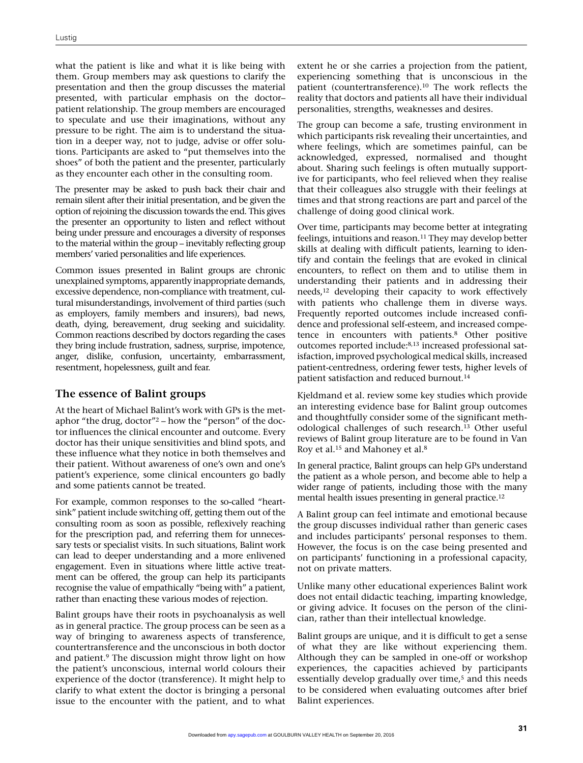what the patient is like and what it is like being with them. Group members may ask questions to clarify the presentation and then the group discusses the material presented, with particular emphasis on the doctor– patient relationship. The group members are encouraged to speculate and use their imaginations, without any pressure to be right. The aim is to understand the situation in a deeper way, not to judge, advise or offer solutions. Participants are asked to "put themselves into the shoes" of both the patient and the presenter, particularly as they encounter each other in the consulting room.

The presenter may be asked to push back their chair and remain silent after their initial presentation, and be given the option of rejoining the discussion towards the end. This gives the presenter an opportunity to listen and reflect without being under pressure and encourages a diversity of responses to the material within the group – inevitably reflecting group members' varied personalities and life experiences.

Common issues presented in Balint groups are chronic unexplained symptoms, apparently inappropriate demands, excessive dependence, non-compliance with treatment, cultural misunderstandings, involvement of third parties (such as employers, family members and insurers), bad news, death, dying, bereavement, drug seeking and suicidality. Common reactions described by doctors regarding the cases they bring include frustration, sadness, surprise, impotence, anger, dislike, confusion, uncertainty, embarrassment, resentment, hopelessness, guilt and fear.

### **The essence of Balint groups**

At the heart of Michael Balint's work with GPs is the metaphor "the drug, doctor"2 – how the "person" of the doctor influences the clinical encounter and outcome. Every doctor has their unique sensitivities and blind spots, and these influence what they notice in both themselves and their patient. Without awareness of one's own and one's patient's experience, some clinical encounters go badly and some patients cannot be treated.

For example, common responses to the so-called "heartsink" patient include switching off, getting them out of the consulting room as soon as possible, reflexively reaching for the prescription pad, and referring them for unnecessary tests or specialist visits. In such situations, Balint work can lead to deeper understanding and a more enlivened engagement. Even in situations where little active treatment can be offered, the group can help its participants recognise the value of empathically "being with" a patient, rather than enacting these various modes of rejection.

Balint groups have their roots in psychoanalysis as well as in general practice. The group process can be seen as a way of bringing to awareness aspects of transference, countertransference and the unconscious in both doctor and patient.9 The discussion might throw light on how the patient's unconscious, internal world colours their experience of the doctor (transference). It might help to clarify to what extent the doctor is bringing a personal issue to the encounter with the patient, and to what extent he or she carries a projection from the patient, experiencing something that is unconscious in the patient (countertransference).10 The work reflects the reality that doctors and patients all have their individual personalities, strengths, weaknesses and desires.

The group can become a safe, trusting environment in which participants risk revealing their uncertainties, and where feelings, which are sometimes painful, can be acknowledged, expressed, normalised and thought about. Sharing such feelings is often mutually supportive for participants, who feel relieved when they realise that their colleagues also struggle with their feelings at times and that strong reactions are part and parcel of the challenge of doing good clinical work.

Over time, participants may become better at integrating feelings, intuitions and reason.<sup>11</sup> They may develop better skills at dealing with difficult patients, learning to identify and contain the feelings that are evoked in clinical encounters, to reflect on them and to utilise them in understanding their patients and in addressing their needs,12 developing their capacity to work effectively with patients who challenge them in diverse ways. Frequently reported outcomes include increased confidence and professional self-esteem, and increased competence in encounters with patients.8 Other positive outcomes reported include:8,13 increased professional satisfaction, improved psychological medical skills, increased patient-centredness, ordering fewer tests, higher levels of patient satisfaction and reduced burnout.14

Kjeldmand et al. review some key studies which provide an interesting evidence base for Balint group outcomes and thoughtfully consider some of the significant methodological challenges of such research.13 Other useful reviews of Balint group literature are to be found in Van Roy et al.<sup>15</sup> and Mahoney et al.<sup>8</sup>

In general practice, Balint groups can help GPs understand the patient as a whole person, and become able to help a wider range of patients, including those with the many mental health issues presenting in general practice.12

A Balint group can feel intimate and emotional because the group discusses individual rather than generic cases and includes participants' personal responses to them. However, the focus is on the case being presented and on participants' functioning in a professional capacity, not on private matters.

Unlike many other educational experiences Balint work does not entail didactic teaching, imparting knowledge, or giving advice. It focuses on the person of the clinician, rather than their intellectual knowledge.

Balint groups are unique, and it is difficult to get a sense of what they are like without experiencing them. Although they can be sampled in one-off or workshop experiences, the capacities achieved by participants essentially develop gradually over time,<sup>5</sup> and this needs to be considered when evaluating outcomes after brief Balint experiences.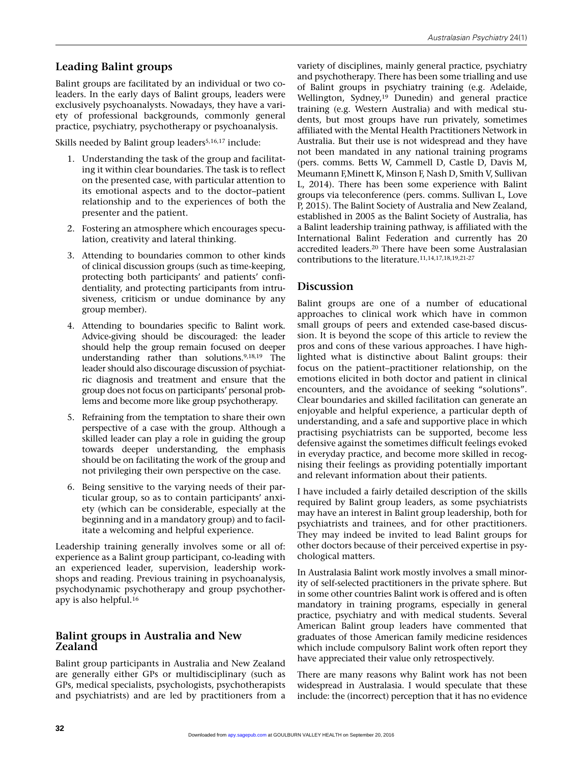Balint groups are facilitated by an individual or two coleaders. In the early days of Balint groups, leaders were exclusively psychoanalysts. Nowadays, they have a variety of professional backgrounds, commonly general practice, psychiatry, psychotherapy or psychoanalysis.

Skills needed by Balint group leaders<sup>5,16,17</sup> include:

- 1. Understanding the task of the group and facilitating it within clear boundaries. The task is to reflect on the presented case, with particular attention to its emotional aspects and to the doctor–patient relationship and to the experiences of both the presenter and the patient.
- 2. Fostering an atmosphere which encourages speculation, creativity and lateral thinking.
- 3. Attending to boundaries common to other kinds of clinical discussion groups (such as time-keeping, protecting both participants' and patients' confidentiality, and protecting participants from intrusiveness, criticism or undue dominance by any group member).
- 4. Attending to boundaries specific to Balint work. Advice-giving should be discouraged: the leader should help the group remain focused on deeper understanding rather than solutions.9,18,19 The leader should also discourage discussion of psychiatric diagnosis and treatment and ensure that the group does not focus on participants' personal problems and become more like group psychotherapy.
- 5. Refraining from the temptation to share their own perspective of a case with the group. Although a skilled leader can play a role in guiding the group towards deeper understanding, the emphasis should be on facilitating the work of the group and not privileging their own perspective on the case.
- 6. Being sensitive to the varying needs of their particular group, so as to contain participants' anxiety (which can be considerable, especially at the beginning and in a mandatory group) and to facilitate a welcoming and helpful experience.

Leadership training generally involves some or all of: experience as a Balint group participant, co-leading with an experienced leader, supervision, leadership workshops and reading. Previous training in psychoanalysis, psychodynamic psychotherapy and group psychotherapy is also helpful.16

## **Balint groups in Australia and New Zealand**

Balint group participants in Australia and New Zealand are generally either GPs or multidisciplinary (such as GPs, medical specialists, psychologists, psychotherapists and psychiatrists) and are led by practitioners from a

variety of disciplines, mainly general practice, psychiatry and psychotherapy. There has been some trialling and use of Balint groups in psychiatry training (e.g. Adelaide, Wellington, Sydney,<sup>19</sup> Dunedin) and general practice training (e.g. Western Australia) and with medical students, but most groups have run privately, sometimes affiliated with the Mental Health Practitioners Network in Australia. But their use is not widespread and they have not been mandated in any national training programs (pers. comms. Betts W, Cammell D, Castle D, Davis M, Meumann F,Minett K, Minson F, Nash D, Smith V, Sullivan L, 2014). There has been some experience with Balint groups via teleconference (pers. comms. Sullivan L, Love P, 2015). The Balint Society of Australia and New Zealand, established in 2005 as the Balint Society of Australia, has a Balint leadership training pathway, is affiliated with the International Balint Federation and currently has 20 accredited leaders.20 There have been some Australasian contributions to the literature.11,14,17,18,19,21-27

## **Discussion**

Balint groups are one of a number of educational approaches to clinical work which have in common small groups of peers and extended case-based discussion. It is beyond the scope of this article to review the pros and cons of these various approaches. I have highlighted what is distinctive about Balint groups: their focus on the patient–practitioner relationship, on the emotions elicited in both doctor and patient in clinical encounters, and the avoidance of seeking "solutions". Clear boundaries and skilled facilitation can generate an enjoyable and helpful experience, a particular depth of understanding, and a safe and supportive place in which practising psychiatrists can be supported, become less defensive against the sometimes difficult feelings evoked in everyday practice, and become more skilled in recognising their feelings as providing potentially important and relevant information about their patients.

I have included a fairly detailed description of the skills required by Balint group leaders, as some psychiatrists may have an interest in Balint group leadership, both for psychiatrists and trainees, and for other practitioners. They may indeed be invited to lead Balint groups for other doctors because of their perceived expertise in psychological matters.

In Australasia Balint work mostly involves a small minority of self-selected practitioners in the private sphere. But in some other countries Balint work is offered and is often mandatory in training programs, especially in general practice, psychiatry and with medical students. Several American Balint group leaders have commented that graduates of those American family medicine residences which include compulsory Balint work often report they have appreciated their value only retrospectively.

There are many reasons why Balint work has not been widespread in Australasia. I would speculate that these include: the (incorrect) perception that it has no evidence